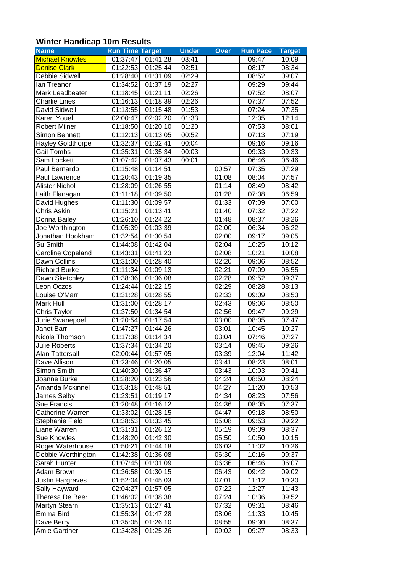## **Winter Handicap 10m Results**

| <b>Name</b>              | <b>Run Time Target</b> |          | <b>Under</b> | <b>Over</b> | <b>Run Pace</b> | <b>Target</b> |
|--------------------------|------------------------|----------|--------------|-------------|-----------------|---------------|
| <b>Michael Knowles</b>   | 01:37:47               | 01:41:28 | 03:41        |             | 09:47           | 10:09         |
| <b>Denise Clark</b>      | 01:22:53               | 01:25:44 | 02:51        |             | 08:17           | 08:34         |
| Debbie Sidwell           | 01:28:40               | 01:31:09 | 02:29        |             | 08:52           | 09:07         |
| lan Treanor              | 01:34:52               | 01:37:19 | 02:27        |             | 09:29           | 09:44         |
| Mark Leadbeater          | 01:18:45               | 01:21:11 | 02:26        |             | 07:52           | 08:07         |
| <b>Charlie Lines</b>     | 01:16:13               | 01:18:39 | 02:26        |             | 07:37           | 07:52         |
| David Sidwell            | 01:13:55               | 01:15:48 | 01:53        |             | 07:24           | 07:35         |
| Karen Youel              | 02:00:47               | 02:02:20 | 01:33        |             | 12:05           | 12:14         |
| <b>Robert Milner</b>     | 01:18:50               | 01:20:10 | 01:20        |             | 07:53           | 08:01         |
| Simon Bennett            | 01:12:13               | 01:13:05 | 00:52        |             | 07:13           | 07:19         |
| <b>Hayley Goldthorpe</b> | 01:32:37               | 01:32:41 | 00:04        |             | 09:16           | 09:16         |
| <b>Gail Tombs</b>        | 01:35:31               | 01:35:34 | 00:03        |             | 09:33           | 09:33         |
| Sam Lockett              | 01:07:42               | 01:07:43 | 00:01        |             | 06:46           | 06:46         |
| Paul Bernardo            | 01:15:48               | 01:14:51 |              | 00:57       | 07:35           | 07:29         |
| Paul Lawrence            | 01:20:43               | 01:19:35 |              | 01:08       | 08:04           | 07:57         |
| <b>Alister Nicholl</b>   | 01:28:09               | 01:26:55 |              | 01:14       | 08:49           | 08:42         |
| Laith Flanagan           | $01:1\overline{1:18}$  | 01:09:50 |              | 01:28       | 07:08           | 06:59         |
| David Hughes             | 01:11:30               | 01:09:57 |              | 01:33       | 07:09           | 07:00         |
| <b>Chris Askin</b>       | 01:15:21               | 01:13:41 |              | 01:40       | 07:32           | 07:22         |
| Donna Bailey             | 01:26:10               | 01:24:22 |              | 01:48       | 08:37           | 08:26         |
| Joe Worthington          | 01:05:39               | 01:03:39 |              | 02:00       | 06:34           | 06:22         |
| Jonathan Hookham         | 01:32:54               | 01:30:54 |              | 02:00       | 09:17           | 09:05         |
| Su Smith                 | 01:44:08               | 01:42:04 |              | 02:04       | 10:25           | 10:12         |
| Caroline Copeland        | 01:43:31               | 01:41:23 |              | 02:08       | 10:21           | 10:08         |
| Dawn Collins             | 01:31:00               | 01:28:40 |              | 02:20       | 09:06           | 08:52         |
| <b>Richard Burke</b>     | 01:11:34               | 01:09:13 |              | 02:21       | 07:09           | 06:55         |
| Dawn Sketchley           | 01:38:36               | 01:36:08 |              | 02:28       | 09:52           | 09:37         |
| Leon Oczos               | 01:24:44               | 01:22:15 |              | 02:29       | 08:28           | 08:13         |
| Louise O'Marr            | 01:31:28               | 01:28:55 |              | 02:33       | 09:09           | 08:53         |
| Mark Hull                | 01:31:00               | 01:28:17 |              | 02:43       | 09:06           | 08:50         |
| Chris Taylor             | 01:37:50               | 01:34:54 |              | 02:56       | 09:47           | 09:29         |
| Jurie Swanepoel          | 01:20:54               | 01:17:54 |              | 03:00       | 08:05           | 07:47         |
| Janet Barr               | 01:47:27               | 01:44:26 |              | 03:01       | 10:45           | 10:27         |
| Nicola Thomson           | 01:17:38               | 01:14:34 |              | 03:04       | 07:46           | 07:27         |
| <b>Julie Roberts</b>     | 01:37:34               | 01:34:20 |              | 03:14       | 09:45           | 09:26         |
| Alan Tattersall          | 02:00:44               | 01:57:05 |              | 03:39       | 12:04           | 11:42         |
| Dave Allison             | 01:23:46               | 01:20:05 |              | 03:41       | 08:23           | 08:01         |
| Simon Smith              | 01:40:30               | 01:36:47 |              | 03:43       | 10:03           | 09:41         |
| Joanne Burke             | 01:28:20               | 01:23:56 |              | 04:24       | 08:50           | 08:24         |
| Amanda Mckinnel          | 01:53:18               | 01:48:51 |              | 04:27       | 11:20           | 10:53         |
| James Selby              | 01:23:51               | 01:19:17 |              | 04:34       | 08:23           | 07:56         |
| Sue Francis              | 01:20:48               | 01:16:12 |              | 04:36       | 08:05           | 07:37         |
| Catherine Warren         | 01:33:02               | 01:28:15 |              | 04:47       | 09:18           | 08:50         |
| Stephanie Field          | 01:38:53               | 01:33:45 |              | 05:08       | 09:53           | 09:22         |
| Liane Warren             | 01:31:31               | 01:26:12 |              | 05:19       | 09:09           | 08:37         |
| <b>Sue Knowles</b>       | 01:48:20               | 01:42:30 |              | 05:50       | 10:50           | 10:15         |
| Roger Waterhouse         | 01:50:21               | 01:44:18 |              | 06:03       | 11:02           | 10:26         |
| Debbie Worthington       | 01:42:38               | 01:36:08 |              | 06:30       | 10:16           | 09:37         |
| Sarah Hunter             | 01:07:45               | 01:01:09 |              | 06:36       | 06:46           | 06:07         |
| Adam Brown               | 01:36:58               | 01:30:15 |              | 06:43       | 09:42           | 09:02         |
| Justin Hargraves         | 01:52:04               | 01:45:03 |              | 07:01       | 11:12           | 10:30         |
| Sally Hayward            | 02:04:27               | 01:57:05 |              | 07:22       | 12:27           | 11:43         |
| Theresa De Beer          | 01:46:02               | 01:38:38 |              | 07:24       | 10:36           | 09:52         |
| Martyn Stearn            | 01:35:13               | 01:27:41 |              | 07:32       | 09:31           | 08:46         |
| Emma Bird                | 01:55:34               | 01:47:28 |              | 08:06       | 11:33           | 10:45         |
| Dave Berry               | 01:35:05               | 01:26:10 |              | 08:55       | 09:30           | 08:37         |
| Amie Gardner             | 01:34:28               | 01:25:26 |              | 09:02       | 09:27           | 08:33         |